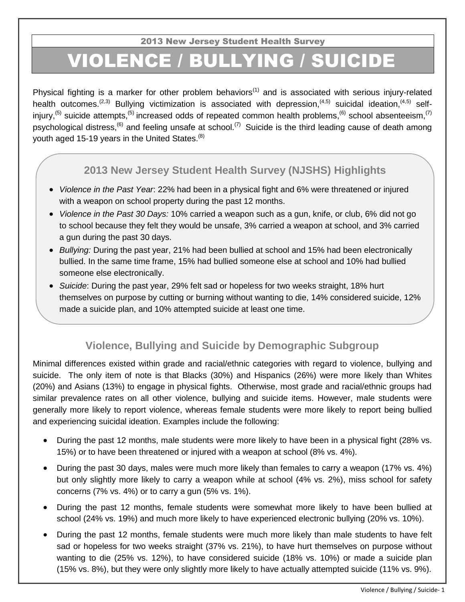2013 New Jersey Student Health Survey

## VIOLENCE / BULLYING / SUICIDE

Physical fighting is a marker for other problem behaviors<sup>(1)</sup> and is associated with serious injury-related health outcomes.<sup>(2,3)</sup> Bullying victimization is associated with depression,<sup>(4,5)</sup> suicidal ideation,<sup>(4,5)</sup> selfinjury,<sup>(5)</sup> suicide attempts,<sup>(5)</sup> increased odds of repeated common health problems,<sup>(6)</sup> school absenteeism,<sup>(7)</sup> psychological distress,<sup>(6)</sup> and feeling unsafe at school.<sup>(7)</sup> Suicide is the third leading cause of death among youth aged 15-19 years in the United States. $(8)$ 

## **2013 New Jersey Student Health Survey (NJSHS) Highlights**

- *Violence in the Past Year*: 22% had been in a physical fight and 6% were threatened or injured with a weapon on school property during the past 12 months.
- *Violence in the Past 30 Days:* 10% carried a weapon such as a gun, knife, or club, 6% did not go to school because they felt they would be unsafe, 3% carried a weapon at school, and 3% carried a gun during the past 30 days.
- *Bullying:* During the past year, 21% had been bullied at school and 15% had been electronically bullied. In the same time frame, 15% had bullied someone else at school and 10% had bullied someone else electronically.
- *Suicide*: During the past year, 29% felt sad or hopeless for two weeks straight, 18% hurt themselves on purpose by cutting or burning without wanting to die, 14% considered suicide, 12% made a suicide plan, and 10% attempted suicide at least one time.

## **Violence, Bullying and Suicide by Demographic Subgroup**

Minimal differences existed within grade and racial/ethnic categories with regard to violence, bullying and suicide. The only item of note is that Blacks (30%) and Hispanics (26%) were more likely than Whites (20%) and Asians (13%) to engage in physical fights. Otherwise, most grade and racial/ethnic groups had similar prevalence rates on all other violence, bullying and suicide items. However, male students were generally more likely to report violence, whereas female students were more likely to report being bullied and experiencing suicidal ideation. Examples include the following:

- During the past 12 months, male students were more likely to have been in a physical fight (28% vs. 15%) or to have been threatened or injured with a weapon at school (8% vs. 4%).
- During the past 30 days, males were much more likely than females to carry a weapon (17% vs. 4%) but only slightly more likely to carry a weapon while at school (4% vs. 2%), miss school for safety concerns (7% vs. 4%) or to carry a gun (5% vs. 1%).
- During the past 12 months, female students were somewhat more likely to have been bullied at school (24% vs. 19%) and much more likely to have experienced electronic bullying (20% vs. 10%).
- During the past 12 months, female students were much more likely than male students to have felt sad or hopeless for two weeks straight (37% vs. 21%), to have hurt themselves on purpose without wanting to die (25% vs. 12%), to have considered suicide (18% vs. 10%) or made a suicide plan (15% vs. 8%), but they were only slightly more likely to have actually attempted suicide (11% vs. 9%).